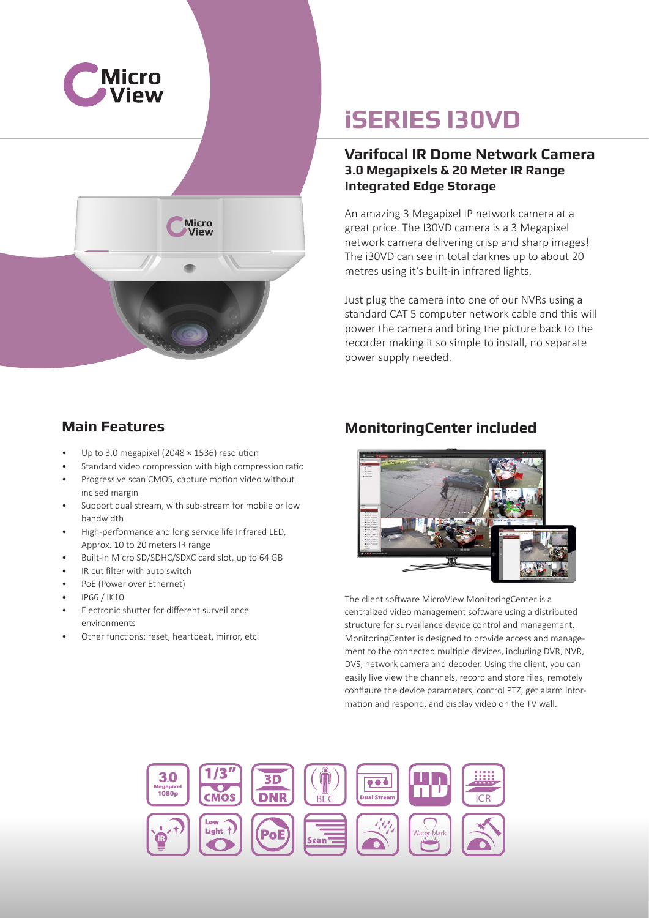



# **iSERIES I30VD**

### **Varifocal IR Dome Network Camera 3.0 Megapixels & 20 Meter IR Range Integrated Edge Storage**

An amazing 3 Megapixel IP network camera at a great price. The I30VD camera is a 3 Megapixel network camera delivering crisp and sharp images! The i30VD can see in total darknes up to about 20 metres using it's built-in infrared lights.

Just plug the camera into one of our NVRs using a standard CAT 5 computer network cable and this will power the camera and bring the picture back to the recorder making it so simple to install, no separate power supply needed.

### **Main Features**

- Up to 3.0 megapixel (2048 × 1536) resolution
- Standard video compression with high compression ratio
- Progressive scan CMOS, capture motion video without incised margin
- Support dual stream, with sub-stream for mobile or low bandwidth
- High-performance and long service life Infrared LED, Approx. 10 to 20 meters IR range
- Built-in Micro SD/SDHC/SDXC card slot, up to 64 GB
- IR cut filter with auto switch
- PoE (Power over Ethernet)
- IP66 / IK10
- Electronic shutter for different surveillance environments
- Other functions: reset, heartbeat, mirror, etc.

### **MonitoringCenter included**



The client software MicroView MonitoringCenter is a centralized video management software using a distributed structure for surveillance device control and management. MonitoringCenter is designed to provide access and management to the connected multiple devices, including DVR, NVR, DVS, network camera and decoder. Using the client, you can easily live view the channels, record and store files, remotely configure the device parameters, control PTZ, get alarm information and respond, and display video on the TV wall.